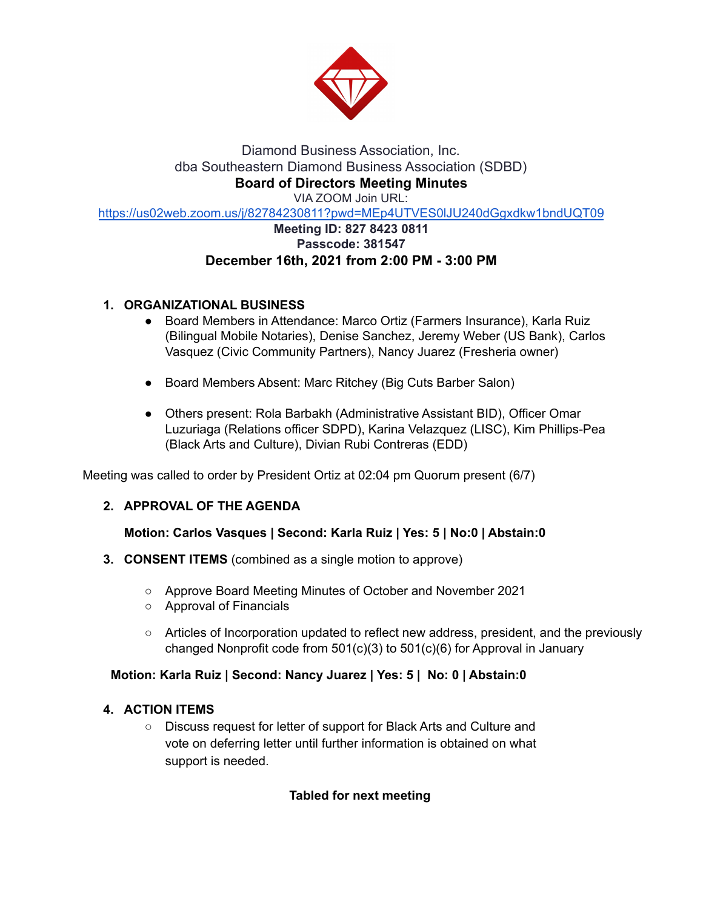

### Diamond Business Association, Inc. dba Southeastern Diamond Business Association (SDBD) **Board of Directors Meeting Minutes** VIA ZOOM Join URL: <https://us02web.zoom.us/j/82784230811?pwd=MEp4UTVES0lJU240dGgxdkw1bndUQT09> **Meeting ID: 827 8423 0811**

# **Passcode: 381547 December 16th, 2021 from 2:00 PM - 3:00 PM**

# **1. ORGANIZATIONAL BUSINESS**

- Board Members in Attendance: Marco Ortiz (Farmers Insurance), Karla Ruiz (Bilingual Mobile Notaries), Denise Sanchez, Jeremy Weber (US Bank), Carlos Vasquez (Civic Community Partners), Nancy Juarez (Fresheria owner)
- Board Members Absent: Marc Ritchey (Big Cuts Barber Salon)
- Others present: Rola Barbakh (Administrative Assistant BID), Officer Omar Luzuriaga (Relations officer SDPD), Karina Velazquez (LISC), Kim Phillips-Pea (Black Arts and Culture), Divian Rubi Contreras (EDD)

Meeting was called to order by President Ortiz at 02:04 pm Quorum present (6/7)

# **2. APPROVAL OF THE AGENDA**

# **Motion: Carlos Vasques | Second: Karla Ruiz | Yes: 5 | No:0 | Abstain:0**

- **3. CONSENT ITEMS** (combined as a single motion to approve)
	- Approve Board Meeting Minutes of October and November 2021
	- Approval of Financials
	- Articles of Incorporation updated to reflect new address, president, and the previously changed Nonprofit code from 501(c)(3) to 501(c)(6) for Approval in January

# **Motion: Karla Ruiz | Second: Nancy Juarez | Yes: 5 | No: 0 | Abstain:0**

# **4. ACTION ITEMS**

**○** Discuss request for letter of support for Black Arts and Culture and vote on deferring letter until further information is obtained on what support is needed.

# **Tabled for next meeting**